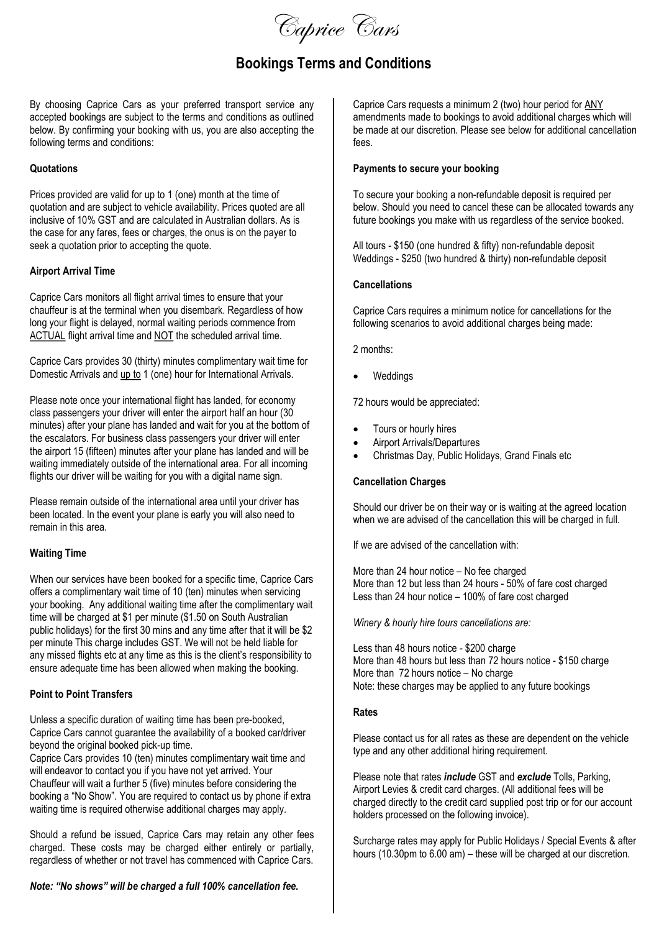Caprice Cars

# Bookings Terms and Conditions

By choosing Caprice Cars as your preferred transport service any accepted bookings are subject to the terms and conditions as outlined below. By confirming your booking with us, you are also accepting the following terms and conditions:

#### **Quotations**

Prices provided are valid for up to 1 (one) month at the time of quotation and are subject to vehicle availability. Prices quoted are all inclusive of 10% GST and are calculated in Australian dollars. As is the case for any fares, fees or charges, the onus is on the payer to seek a quotation prior to accepting the quote.

#### Airport Arrival Time

Caprice Cars monitors all flight arrival times to ensure that your chauffeur is at the terminal when you disembark. Regardless of how long your flight is delayed, normal waiting periods commence from ACTUAL flight arrival time and NOT the scheduled arrival time.

Caprice Cars provides 30 (thirty) minutes complimentary wait time for Domestic Arrivals and up to 1 (one) hour for International Arrivals.

Please note once your international flight has landed, for economy class passengers your driver will enter the airport half an hour (30 minutes) after your plane has landed and wait for you at the bottom of the escalators. For business class passengers your driver will enter the airport 15 (fifteen) minutes after your plane has landed and will be waiting immediately outside of the international area. For all incoming flights our driver will be waiting for you with a digital name sign.

Please remain outside of the international area until your driver has been located. In the event your plane is early you will also need to remain in this area.

# Waiting Time

When our services have been booked for a specific time, Caprice Cars offers a complimentary wait time of 10 (ten) minutes when servicing your booking. Any additional waiting time after the complimentary wait time will be charged at \$1 per minute (\$1.50 on South Australian public holidays) for the first 30 mins and any time after that it will be \$2 per minute This charge includes GST. We will not be held liable for any missed flights etc at any time as this is the client's responsibility to ensure adequate time has been allowed when making the booking.

#### Point to Point Transfers

Unless a specific duration of waiting time has been pre-booked, Caprice Cars cannot guarantee the availability of a booked car/driver beyond the original booked pick-up time.

Caprice Cars provides 10 (ten) minutes complimentary wait time and will endeavor to contact you if you have not yet arrived. Your Chauffeur will wait a further 5 (five) minutes before considering the booking a "No Show". You are required to contact us by phone if extra waiting time is required otherwise additional charges may apply.

Should a refund be issued, Caprice Cars may retain any other fees charged. These costs may be charged either entirely or partially, regardless of whether or not travel has commenced with Caprice Cars.

Note: "No shows" will be charged a full 100% cancellation fee.

Caprice Cars requests a minimum 2 (two) hour period for ANY amendments made to bookings to avoid additional charges which will be made at our discretion. Please see below for additional cancellation fees.

#### Payments to secure your booking

To secure your booking a non-refundable deposit is required per below. Should you need to cancel these can be allocated towards any future bookings you make with us regardless of the service booked.

All tours - \$150 (one hundred & fifty) non-refundable deposit Weddings - \$250 (two hundred & thirty) non-refundable deposit

#### **Cancellations**

Caprice Cars requires a minimum notice for cancellations for the following scenarios to avoid additional charges being made:

2 months:

Weddings

72 hours would be appreciated:

- Tours or hourly hires
- Airport Arrivals/Departures
- Christmas Day, Public Holidays, Grand Finals etc

# Cancellation Charges

Should our driver be on their way or is waiting at the agreed location when we are advised of the cancellation this will be charged in full.

If we are advised of the cancellation with:

More than 24 hour notice – No fee charged More than 12 but less than 24 hours - 50% of fare cost charged Less than 24 hour notice – 100% of fare cost charged

Winery & hourly hire tours cancellations are:

Less than 48 hours notice - \$200 charge More than 48 hours but less than 72 hours notice - \$150 charge More than 72 hours notice – No charge Note: these charges may be applied to any future bookings

#### Rates

Please contact us for all rates as these are dependent on the vehicle type and any other additional hiring requirement.

Please note that rates *include* GST and exclude Tolls, Parking, Airport Levies & credit card charges. (All additional fees will be charged directly to the credit card supplied post trip or for our account holders processed on the following invoice).

Surcharge rates may apply for Public Holidays / Special Events & after hours (10.30pm to 6.00 am) – these will be charged at our discretion.